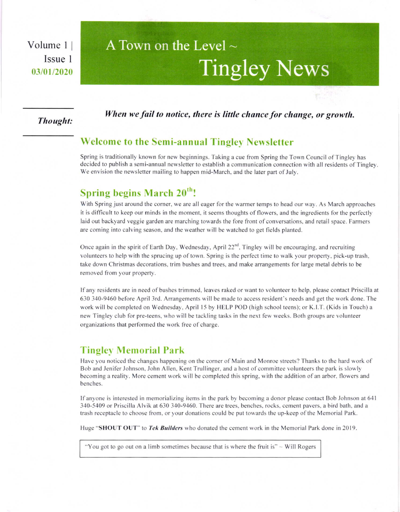Volume I I Issue I 03/01/2020

# A Town on the Level  $\sim$ Tingley News

#### Thought:

When we fail to notice, there is little chance for change, or growth.

### Welcome to the Semi-annual Tingley Neusletter

Spring is traditionally known for new beginnings. Taking a cue from Spring the Town Council of Tingley has decided to publish a semi-annual newsletter to establish a communication connection with all residents of Tingley. We envision the newsletter mailing to happen mid-March, and the later part of July.

# Spring begins March 20'h!

With Spring just around the corner, we are all eager for the warmer temps to head our way. As March approaches it is difficult to keep our minds in the moment, it seems thoughts offlowers, and the ingredients for the perfectly laid out backyard veggie garden are marching towards the fore front of conversations, and retail space. Farmers are coming into calving season, and the weather will be watched to get fields planted.

Once again in the spirit of Earth Day, Wednesday, April 22<sup>nd</sup>, Tingley will be encouraging, and recruiting volunteers to help with the sprucing up of town. Spring is the perfect time to walk your property, pick-up trash, take down Christmas decorations, rim bushes and trees, and make arrangements for large metal debris to be removed from your property.

Ifany residents are in need ofbushes trimmed, leaves raked or want to volunteer to help, please contact Priscilla at 630 340-9460 before April 3rd. Arrangements will be made to access resident's needs and get the work done. The work will be completed on Wednesday, April l5 by HELP POD (high school teens); or K.l.T. (Kids in Touch) a new Tingley club for pre-teens, who will be tackling tasks in the next few weeks. Both groups are volunteer organizations that performed the work free of charge.

## **Tingley Memorial Park**

Have you noticed the changes happening on the comer of Main and Monroe streets? Thanks to the hard work of Bob and Jenifer Johnson, John Allen, Kent Trullinger, and a host of committee volunteers the park is slowly becoming a reality. More cement work will be completed this spring, with the addition of an arbor, flowers and benches.

Ifanyone is interested in memorializing items in the park by becoming a donor please contact Bob Johnson at 641 340-5409 or Priscilla Alyik at 630 340-9460. There are trees. benches. rocks. cement pavers. a bird bath, and a trash receptacle to choose from, or your donations could be put towards the up-keep ofthe Memorial Park.

Huge "SHOUT OUT" to Tek Builders who donated the cement work in the Memorial Park done in 2019.

"You got to go out on a limb sometimes because that is where the fruit is"  $\sim$  Will Rogers